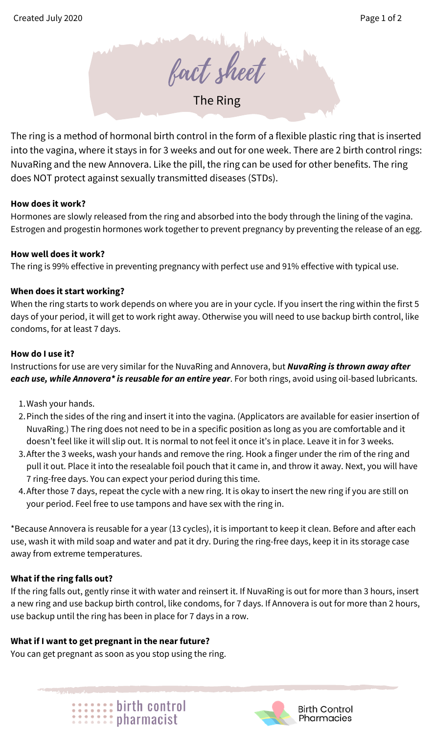fact sheet

The Ring

The ring is a method of hormonal birth control in the form of a flexible plastic ring that is inserted into the vagina, where it stays in for 3 weeks and out for one week. There are 2 birth control rings: NuvaRing and the new Annovera. Like the pill, the ring can be used for other benefits. The ring does NOT protect against sexually transmitted diseases (STDs).

## **How does it work?**

Hormones are slowly released from the ring and absorbed into the body through the lining of the vagina. Estrogen and progestin hormones work together to prevent pregnancy by preventing the release of an egg.

## **How well does it work?**

The ring is 99% effective in preventing pregnancy with perfect use and 91% effective with typical use.

# **When does it start working?**

When the ring starts to work depends on where you are in your cycle. If you insert the ring within the first 5 days of your period, it will get to work right away. Otherwise you will need to use backup birth control, like condoms, for at least 7 days.

## **How do I use it?**

Instructions for use are very similar for the NuvaRing and Annovera, but *NuvaRing is thrown away after each use, while Annovera\* is reusable for an entire year*. For both rings, avoid using oil-based lubricants.

- 1. Wash your hands.
- 2. Pinch the sides of the ring and insert it into the vagina. (Applicators are available for easier insertion of NuvaRing.) The ring does not need to be in a specific position as long as you are comfortable and it doesn't feel like it will slip out. It is normal to not feel it once it's in place. Leave it in for 3 weeks.
- After the 3 weeks, wash your hands and remove the ring. Hook a finger under the rim of the ring and 3. pull it out. Place it into the resealable foil pouch that it came in, and throw it away. Next, you will have 7 ring-free days. You can expect your period during this time.
- After those 7 days, repeat the cycle with a new ring. It is okay to insert the new ring if you are still on 4. your period. Feel free to use tampons and have sex with the ring in.

\*Because Annovera is reusable for a year (13 cycles), it is important to keep it clean. Before and after each use, wash it with mild soap and water and pat it dry. During the ring-free days, keep it in its storage case away from extreme temperatures.

# **What if the ring falls out?**

If the ring falls out, gently rinse it with water and reinsert it. If NuvaRing is out for more than 3 hours, insert a new ring and use backup birth control, like condoms, for 7 days. If Annovera is out for more than 2 hours, use backup until the ring has been in place for 7 days in a row.

# **What if I want to get pregnant in the near future?**

You can get pregnant as soon as you stop using the ring.





**Birth Control** Pharmacies